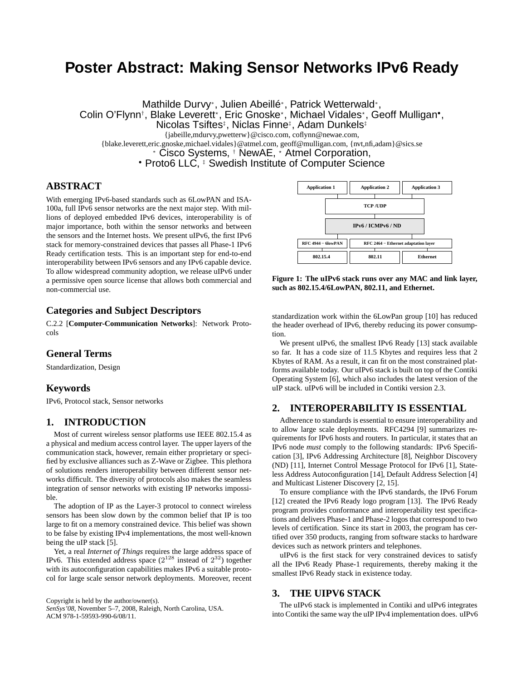# **Poster Abstract: Making Sensor Networks IPv6 Ready**

Mathilde Durvy<sup>∗</sup> , Julien Abeillé<sup>∗</sup> , Patrick Wetterwald<sup>∗</sup> , Colin O'Flynn<sup>†</sup>, Blake Leverett\*, Eric Gnoske\*, Michael Vidales\*, Geoff Mulligan•,

Nicolas Tsiftes<sup>‡</sup>, Niclas Finne<sup>‡</sup>, Adam Dunkels<sup>‡</sup>

{jabeille,mdurvy,pwetterw}@cisco.com, coflynn@newae.com,

{blake.leverett,eric.gnoske,michael.vidales}@atmel.com, geoff@mulligan.com, {nvt,nfi,adam}@sics.se

<sup>∗</sup> Cisco Systems, † NewAE, <sup>⋆</sup> Atmel Corporation,

• Proto6 LLC,  $\overline{\ }$  Swedish Institute of Computer Science

## **ABSTRACT**

With emerging IPv6-based standards such as 6LowPAN and ISA-100a, full IPv6 sensor networks are the next major step. With millions of deployed embedded IPv6 devices, interoperability is of major importance, both within the sensor networks and between the sensors and the Internet hosts. We present uIPv6, the first IPv6 stack for memory-constrained devices that passes all Phase-1 IPv6 Ready certification tests. This is an important step for end-to-end interoperability between IPv6 sensors and any IPv6 capable device. To allow widespread community adoption, we release uIPv6 under a permissive open source license that allows both commercial and non-commercial use.

## **Categories and Subject Descriptors**

C.2.2 [**Computer-Communication Networks**]: Network Protocols

# **General Terms**

Standardization, Design

# **Keywords**

IPv6, Protocol stack, Sensor networks

## **1. INTRODUCTION**

Most of current wireless sensor platforms use IEEE 802.15.4 as a physical and medium access control layer. The upper layers of the communication stack, however, remain either proprietary or specified by exclusive alliances such as Z-Wave or Zigbee. This plethora of solutions renders interoperability between different sensor networks difficult. The diversity of protocols also makes the seamless integration of sensor networks with existing IP networks impossible.

The adoption of IP as the Layer-3 protocol to connect wireless sensors has been slow down by the common belief that IP is too large to fit on a memory constrained device. This belief was shown to be false by existing IPv4 implementations, the most well-known being the uIP stack [5].

Yet, a real *Internet of Things* requires the large address space of IPv6. This extended address space  $(2^{128})$  instead of  $2^{32}$ ) together with its autoconfiguration capabilities makes IPv6 a suitable protocol for large scale sensor network deployments. Moreover, recent

Copyright is held by the author/owner(s). *SenSys'08,* November 5–7, 2008, Raleigh, North Carolina, USA. ACM 978-1-59593-990-6/08/11.



**Figure 1: The uIPv6 stack runs over any MAC and link layer, such as 802.15.4/6LowPAN, 802.11, and Ethernet.**

standardization work within the 6LowPan group [10] has reduced the header overhead of IPv6, thereby reducing its power consumption.

We present uIPv6, the smallest IPv6 Ready [13] stack available so far. It has a code size of 11.5 Kbytes and requires less that 2 Kbytes of RAM. As a result, it can fit on the most constrained platforms available today. Our uIPv6 stack is built on top of the Contiki Operating System [6], which also includes the latest version of the uIP stack. uIPv6 will be included in Contiki version 2.3.

# **2. INTEROPERABILITY IS ESSENTIAL**

Adherence to standards is essential to ensure interoperability and to allow large scale deployments. RFC4294 [9] summarizes requirements for IPv6 hosts and routers. In particular, it states that an IPv6 node *must* comply to the following standards: IPv6 Specification [3], IPv6 Addressing Architecture [8], Neighbor Discovery (ND) [11], Internet Control Message Protocol for IPv6 [1], Stateless Address Autoconfiguration [14], Default Address Selection [4] and Multicast Listener Discovery [2, 15].

To ensure compliance with the IPv6 standards, the IPv6 Forum [12] created the IPv6 Ready logo program [13]. The IPv6 Ready program provides conformance and interoperability test specifications and delivers Phase-1 and Phase-2 logos that correspond to two levels of certification. Since its start in 2003, the program has certified over 350 products, ranging from software stacks to hardware devices such as network printers and telephones.

uIPv6 is the first stack for very constrained devices to satisfy all the IPv6 Ready Phase-1 requirements, thereby making it the smallest IPv6 Ready stack in existence today.

## **3. THE UIPV6 STACK**

The uIPv6 stack is implemented in Contiki and uIPv6 integrates into Contiki the same way the uIP IPv4 implementation does. uIPv6